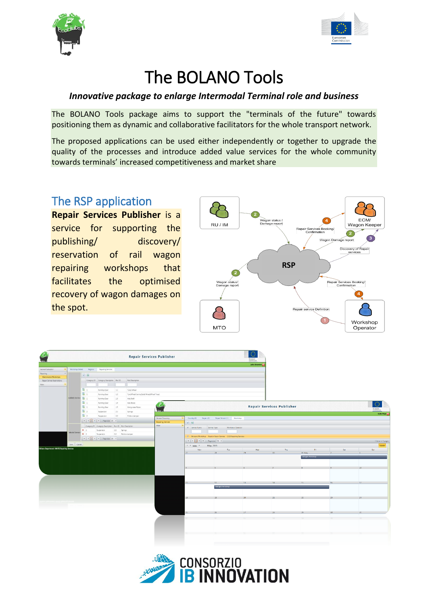



# The BOLANO Tools

### *Innovative package to enlarge Intermodal Terminal role and business*

The BOLANO Tools package aims to support the "terminals of the future" towards positioning them as dynamic and collaborative facilitators for the whole transport network.

The proposed applications can be used either independently or together to upgrade the quality of the processes and introduce added value services for the whole community towards terminals' increased competitiveness and market share

## The RSP application

**Repair Services Publisher** is a service for supporting the publishing/ discovery/ reservation of rail wagon repairing workshops that facilitates the optimised recovery of wagon damages on the spot.



|                                              |                   |                          |                                                            |                                          |                     |                  | <b>Repair Services Publisher</b>          |                                                                    |                                   |                       |                                  |                           |     |                       |
|----------------------------------------------|-------------------|--------------------------|------------------------------------------------------------|------------------------------------------|---------------------|------------------|-------------------------------------------|--------------------------------------------------------------------|-----------------------------------|-----------------------|----------------------------------|---------------------------|-----|-----------------------|
| Service Publication                          |                   |                          | Workshop Details Reports                                   | <b>Repairing Services</b>                |                     |                  |                                           |                                                                    |                                   | <b>Julio Abramino</b> |                                  |                           |     |                       |
| Reparing                                     |                   |                          |                                                            |                                          |                     |                  |                                           |                                                                    |                                   |                       |                                  |                           |     |                       |
| Maintenance Workshops                        |                   |                          | $ r $ (0)                                                  |                                          |                     |                  |                                           |                                                                    |                                   |                       |                                  |                           |     |                       |
| Repair Service Reservations                  |                   |                          |                                                            | Category ID Category Description Part ID |                     | Part Description |                                           |                                                                    |                                   |                       |                                  |                           |     |                       |
| Main                                         |                   |                          |                                                            |                                          |                     |                  |                                           |                                                                    |                                   |                       |                                  |                           |     |                       |
|                                              |                   |                          | 国 1                                                        | Running Gear                             | 11<br>Tyred Wheel   |                  |                                           |                                                                    |                                   |                       |                                  |                           |     |                       |
|                                              |                   | 国:                       |                                                            | Running Gear                             | $12 -$              |                  | Tyre/Wheel Centre/Solid Wheel/Wheel Tread |                                                                    |                                   |                       |                                  |                           |     |                       |
|                                              |                   | Aveilable Services [ 0 1 |                                                            | Running Gear                             | 13                  | Axle Shaft       |                                           |                                                                    |                                   |                       |                                  |                           |     |                       |
|                                              |                   | 国:                       |                                                            | Running Gear                             | 1A                  | Avie-Boxes       |                                           |                                                                    |                                   |                       |                                  |                           |     | O                     |
|                                              |                   | 国:                       |                                                            | Running Gear                             | 15                  | Manganese Plates | يمترك                                     |                                                                    |                                   |                       | <b>Repair Services Publisher</b> |                           |     | <i><b>uropean</b></i> |
|                                              |                   | 国:                       |                                                            | Suspension                               | 21                  | Springs          |                                           |                                                                    |                                   |                       |                                  |                           |     |                       |
|                                              |                   | 国 2                      |                                                            | Suspension                               | 22                  | Friction damper  |                                           |                                                                    |                                   |                       |                                  |                           |     | Carlo Pepe            |
|                                              |                   |                          |                                                            | H   4   1   Page size: 20 +              |                     |                  | Service Discovery<br>Repairing Services   | Country (0)<br>Region (T)                                          | - Repair Service (1) - Workshop   |                       |                                  |                           |     |                       |
|                                              |                   |                          | Category ID Category Description Part ID Part Description  |                                          |                     |                  | Main                                      | V                                                                  |                                   |                       |                                  |                           |     |                       |
|                                              |                   | X <sub>2</sub>           |                                                            | Suspension                               | 2.1<br>Springs      |                  |                                           | V Service Name                                                     | Service Type<br>Workshop Operator |                       |                                  |                           |     |                       |
|                                              | Selected Services | X <sub>2</sub>           |                                                            | Suspension                               | 2.2 Friction damper |                  |                                           |                                                                    |                                   |                       |                                  |                           |     |                       |
|                                              |                   |                          | $ H $ $ A $ $ 1 $ $ B $ $ B $ Page size $20$ $\rightarrow$ |                                          |                     |                  |                                           | 7 Balogna Workshop Regular Repair Service G.S.J Repairing Services |                                   |                       |                                  |                           |     | I items in 1 pages    |
|                                              |                   |                          |                                                            |                                          |                     |                  |                                           |                                                                    | [H   4   1   F   Fage size: 20 =  |                       |                                  |                           |     |                       |
| (Milano Department) MAVIS Repairing Services |                   | Save Cancel              |                                                            |                                          |                     |                  |                                           | May, 2015<br>$\longleftarrow$ > $\frac{1}{2}$                      |                                   |                       |                                  |                           |     | Month                 |
|                                              |                   |                          |                                                            |                                          |                     |                  |                                           | Mon<br>$\overline{7}$                                              | Tue<br>28                         | Wed<br>29             | Thu<br>30 <sub>1</sub>           | <b>Column</b><br>$01$ May | Sat | Sun                   |
|                                              |                   |                          |                                                            |                                          |                     |                  |                                           |                                                                    |                                   |                       |                                  | <b>Belogna Workshop</b>   |     |                       |
|                                              |                   |                          |                                                            |                                          |                     |                  |                                           |                                                                    |                                   |                       |                                  |                           |     |                       |
|                                              |                   |                          |                                                            |                                          |                     |                  |                                           |                                                                    |                                   |                       |                                  |                           |     |                       |
|                                              |                   |                          |                                                            |                                          |                     |                  |                                           |                                                                    |                                   |                       |                                  |                           |     |                       |
|                                              |                   |                          |                                                            |                                          |                     |                  |                                           |                                                                    |                                   |                       |                                  |                           |     |                       |
|                                              |                   |                          |                                                            |                                          |                     |                  |                                           |                                                                    |                                   |                       |                                  |                           |     |                       |
|                                              |                   |                          |                                                            |                                          |                     |                  |                                           | $11 -$                                                             | $12-12$                           | 18                    | 14                               | 15                        |     |                       |
|                                              |                   |                          |                                                            |                                          |                     |                  |                                           |                                                                    | Ecloqra Workshop                  |                       |                                  |                           |     |                       |
|                                              |                   |                          |                                                            |                                          |                     |                  |                                           |                                                                    |                                   |                       |                                  |                           |     |                       |
|                                              |                   |                          |                                                            |                                          |                     |                  |                                           |                                                                    |                                   |                       |                                  |                           |     |                       |
|                                              |                   |                          |                                                            |                                          |                     |                  |                                           | 18                                                                 | 19                                | 20                    | 21                               | 22                        | 23  |                       |
|                                              |                   |                          |                                                            |                                          |                     |                  |                                           |                                                                    |                                   |                       |                                  |                           |     |                       |
|                                              |                   |                          |                                                            |                                          |                     |                  |                                           |                                                                    |                                   |                       |                                  |                           |     |                       |
|                                              |                   |                          |                                                            |                                          |                     |                  |                                           |                                                                    |                                   |                       |                                  |                           |     |                       |
|                                              |                   |                          |                                                            |                                          |                     |                  |                                           | $\overline{\mathbf{z}}$                                            |                                   |                       |                                  | 29.                       | 38  |                       |
|                                              |                   |                          |                                                            |                                          |                     |                  |                                           |                                                                    |                                   |                       |                                  |                           |     |                       |
|                                              |                   |                          |                                                            |                                          |                     |                  |                                           |                                                                    |                                   |                       |                                  |                           |     |                       |
|                                              |                   |                          |                                                            |                                          |                     |                  |                                           |                                                                    |                                   |                       |                                  |                           |     |                       |
|                                              |                   |                          |                                                            |                                          |                     |                  |                                           |                                                                    |                                   |                       |                                  |                           |     |                       |
|                                              |                   |                          |                                                            |                                          |                     |                  |                                           |                                                                    |                                   |                       |                                  |                           |     |                       |
|                                              |                   |                          |                                                            |                                          |                     |                  |                                           |                                                                    |                                   |                       |                                  |                           |     |                       |